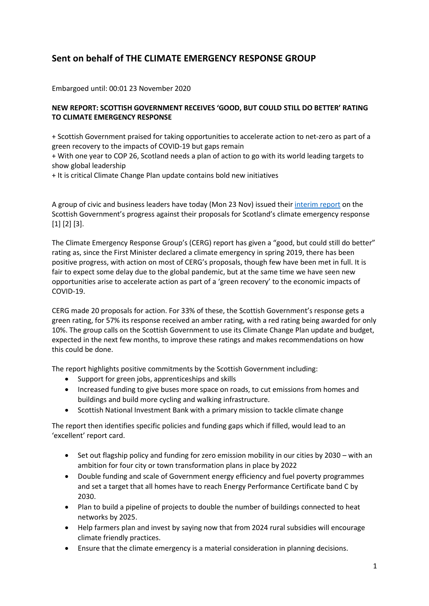# **Sent on behalf of THE CLIMATE EMERGENCY RESPONSE GROUP**

Embargoed until: 00:01 23 November 2020

## **NEW REPORT: SCOTTISH GOVERNMENT RECEIVES 'GOOD, BUT COULD STILL DO BETTER' RATING TO CLIMATE EMERGENCY RESPONSE**

+ Scottish Government praised for taking opportunities to accelerate action to net-zero as part of a green recovery to the impacts of COVID-19 but gaps remain

+ With one year to COP 26, Scotland needs a plan of action to go with its world leading targets to show global leadership

+ It is critical Climate Change Plan update contains bold new initiatives

A group of civic and business leaders have today (Mon 23 Nov) issued their [interim report](https://www.changeworks.org.uk/resources/scotlands-green-recovery-and-climate-emergency-response-interim-assessment-of-progress) on the Scottish Government's progress against their proposals for Scotland's climate emergency response [1] [2] [3].

The Climate Emergency Response Group's (CERG) report has given a "good, but could still do better" rating as, since the First Minister declared a climate emergency in spring 2019, there has been positive progress, with action on most of CERG's proposals, though few have been met in full. It is fair to expect some delay due to the global pandemic, but at the same time we have seen new opportunities arise to accelerate action as part of a 'green recovery' to the economic impacts of COVID-19.

CERG made 20 proposals for action. For 33% of these, the Scottish Government's response gets a green rating, for 57% its response received an amber rating, with a red rating being awarded for only 10%. The group calls on the Scottish Government to use its Climate Change Plan update and budget, expected in the next few months, to improve these ratings and makes recommendations on how this could be done.

The report highlights positive commitments by the Scottish Government including:

- Support for green jobs, apprenticeships and skills
- Increased funding to give buses more space on roads, to cut emissions from homes and buildings and build more cycling and walking infrastructure.
- Scottish National Investment Bank with a primary mission to tackle climate change

The report then identifies specific policies and funding gaps which if filled, would lead to an 'excellent' report card.

- Set out flagship policy and funding for zero emission mobility in our cities by 2030 with an ambition for four city or town transformation plans in place by 2022
- Double funding and scale of Government energy efficiency and fuel poverty programmes and set a target that all homes have to reach Energy Performance Certificate band C by 2030.
- Plan to build a pipeline of projects to double the number of buildings connected to heat networks by 2025.
- Help farmers plan and invest by saying now that from 2024 rural subsidies will encourage climate friendly practices.
- Ensure that the climate emergency is a material consideration in planning decisions.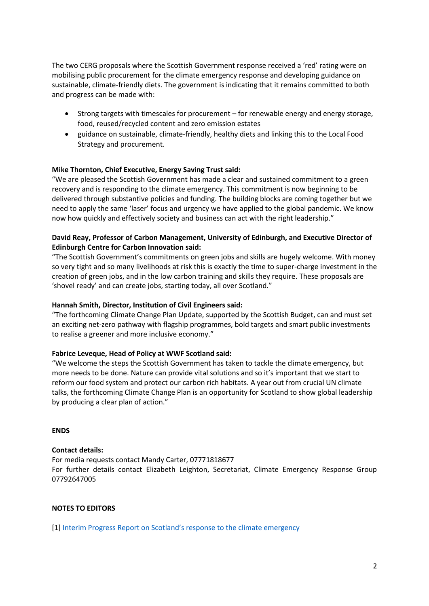The two CERG proposals where the Scottish Government response received a 'red' rating were on mobilising public procurement for the climate emergency response and developing guidance on sustainable, climate-friendly diets. The government is indicating that it remains committed to both and progress can be made with:

- Strong targets with timescales for procurement for renewable energy and energy storage, food, reused/recycled content and zero emission estates
- guidance on sustainable, climate-friendly, healthy diets and linking this to the Local Food Strategy and procurement.

#### **Mike Thornton, Chief Executive, Energy Saving Trust said:**

"We are pleased the Scottish Government has made a clear and sustained commitment to a green recovery and is responding to the climate emergency. This commitment is now beginning to be delivered through substantive policies and funding. The building blocks are coming together but we need to apply the same 'laser' focus and urgency we have applied to the global pandemic. We know now how quickly and effectively society and business can act with the right leadership."

### **David Reay, Professor of Carbon Management, University of Edinburgh, and Executive Director of Edinburgh Centre for Carbon Innovation said:**

"The Scottish Government's commitments on green jobs and skills are hugely welcome. With money so very tight and so many livelihoods at risk this is exactly the time to super-charge investment in the creation of green jobs, and in the low carbon training and skills they require. These proposals are 'shovel ready' and can create jobs, starting today, all over Scotland."

#### **Hannah Smith, Director, Institution of Civil Engineers said:**

"The forthcoming Climate Change Plan Update, supported by the Scottish Budget, can and must set an exciting net-zero pathway with flagship programmes, bold targets and smart public investments to realise a greener and more inclusive economy."

#### **Fabrice Leveque, Head of Policy at WWF Scotland said:**

"We welcome the steps the Scottish Government has taken to tackle the climate emergency, but more needs to be done. Nature can provide vital solutions and so it's important that we start to reform our food system and protect our carbon rich habitats. A year out from crucial UN climate talks, the forthcoming Climate Change Plan is an opportunity for Scotland to show global leadership by producing a clear plan of action."

#### **ENDS**

#### **Contact details:**

For media requests contact Mandy Carter, 07771818677 For further details contact Elizabeth Leighton, Secretariat, Climate Emergency Response Group 07792647005

#### **NOTES TO EDITORS**

[1] [Interim Progress Report on Scotland's response to the climate emergency](https://www.changeworks.org.uk/resources/scotlands-green-recovery-and-climate-emergency-response-interim-assessment-of-progress)